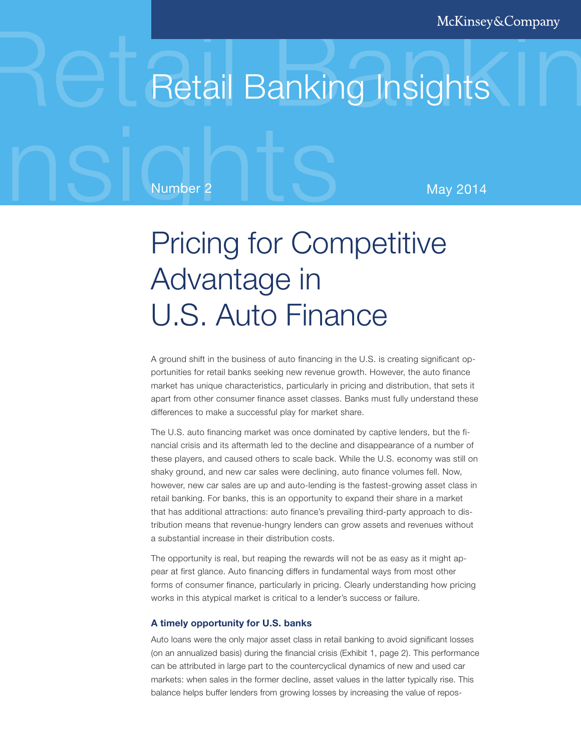# Retail Banking Insights

Number 2 May 2014

## Pricing for Competitive Advantage in U.S. Auto Finance

A ground shift in the business of auto financing in the U.S. is creating significant opportunities for retail banks seeking new revenue growth. However, the auto finance market has unique characteristics, particularly in pricing and distribution, that sets it apart from other consumer finance asset classes. Banks must fully understand these differences to make a successful play for market share.

The U.S. auto financing market was once dominated by captive lenders, but the financial crisis and its aftermath led to the decline and disappearance of a number of these players, and caused others to scale back. While the U.S. economy was still on shaky ground, and new car sales were declining, auto finance volumes fell. Now, however, new car sales are up and auto-lending is the fastest-growing asset class in retail banking. For banks, this is an opportunity to expand their share in a market that has additional attractions: auto finance's prevailing third-party approach to distribution means that revenue-hungry lenders can grow assets and revenues without a substantial increase in their distribution costs.

The opportunity is real, but reaping the rewards will not be as easy as it might appear at first glance. Auto financing differs in fundamental ways from most other forms of consumer finance, particularly in pricing. Clearly understanding how pricing works in this atypical market is critical to a lender's success or failure.

#### **A timely opportunity for U.S. banks**

Auto loans were the only major asset class in retail banking to avoid significant losses (on an annualized basis) during the financial crisis (Exhibit 1, page 2). This performance can be attributed in large part to the countercyclical dynamics of new and used car markets: when sales in the former decline, asset values in the latter typically rise. This balance helps buffer lenders from growing losses by increasing the value of repos-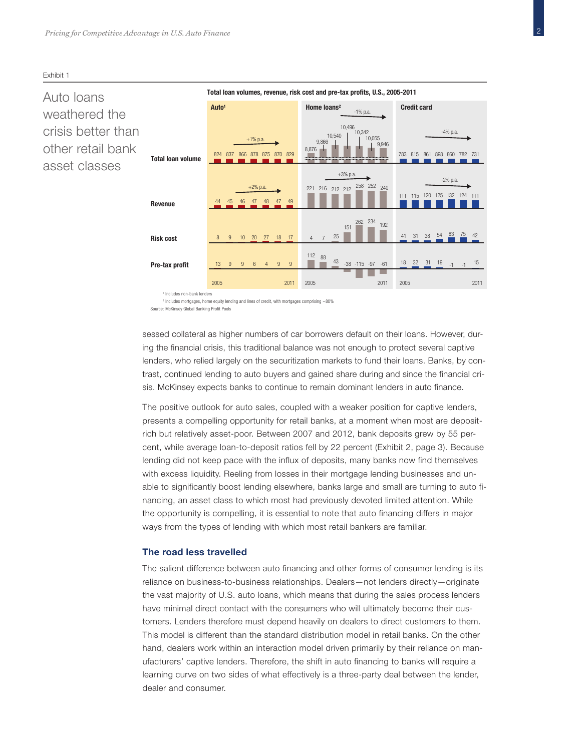9,946 10,055 10,496<br>10,342 824 837 44 45 46 47 48 47 49 8 9 10 20 27 18 17 13 2005 996 9 4 9 2011 2005 2011 2005 2011 866 878 875 870 829 **820 820 820 820 820 820 820 820 820 831 83** 845 861 898 860 782 731 111 115 120 125 132 124 111 41 31 38 54 83 75 42  $\frac{112}{112}$  88  $\frac{43}{13}$  -38 -115 -97 -61 4 7 25 <sup>151</sup> <sup>262</sup> <sup>234</sup> <sup>192</sup> <sup>221</sup> <sup>216</sup> <sup>212</sup> <sup>212</sup> <sup>258</sup> <sup>252</sup> <sup>240</sup> 18 32 31 19 -1 -1 15 10,540 9,866 8,876  $-4\%$  n.a. -2% p.a. +1% p.a. +2% p.a. +3% p.a. -1% p.a. **Total loan volumes, revenue, risk cost and pre-tax profits, U.S., 2005-2011 Auto1 Total loan volume Revenue Risk cost Pre-tax profit Home loans2 Credit card**

<sup>1</sup> Includes non-bank lenders

<sup>2</sup> Includes mortgages, home equity lending and lines of credit, with mortgages comprising  $\sim$ 80% Source: McKinsey Global Banking Profit Pools

sessed collateral as higher numbers of car borrowers default on their loans. However, during the financial crisis, this traditional balance was not enough to protect several captive lenders, who relied largely on the securitization markets to fund their loans. Banks, by contrast, continued lending to auto buyers and gained share during and since the financial crisis. McKinsey expects banks to continue to remain dominant lenders in auto finance.

presents a compelling opportunity for retail banks, at a moment when most are depositrich but relatively asset-poor. Between 2007 and 2012, bank deposits grew by 55 percent, while average loan-to-deposit ratios fell by 22 percent (Exhibit 2, page 3). Because lending did not keep pace with the influx of deposits, many banks now find themselves with excess liquidity. Reeling from losses in their mortgage lending businesses and unable to significantly boost lending elsewhere, banks large and small are turning to auto financing, an asset class to which most had previously devoted limited attention. While the opportunity is compelling, it is essential to note that auto financing differs in major ways from the types of lending with which most retail bankers are familiar.

#### **The road less travelled**

The salient difference between auto financing and other forms of consumer lending is its reliance on business-to-business relationships. Dealers—not lenders directly—originate the vast majority of U.S. auto loans, which means that during the sales process lenders have minimal direct contact with the consumers who will ultimately become their customers. Lenders therefore must depend heavily on dealers to direct customers to them. This model is different than the standard distribution model in retail banks. On the other hand, dealers work within an interaction model driven primarily by their reliance on manufacturers' captive lenders. Therefore, the shift in auto financing to banks will require a learning curve on two sides of what effectively is a three-party deal between the lender, dealer and consumer.

#### Exhibit 1

### Auto loans weathered the crisis better than other retail bank asset classes

The positive outlook for auto sales, coupled with a weaker position for captive lenders,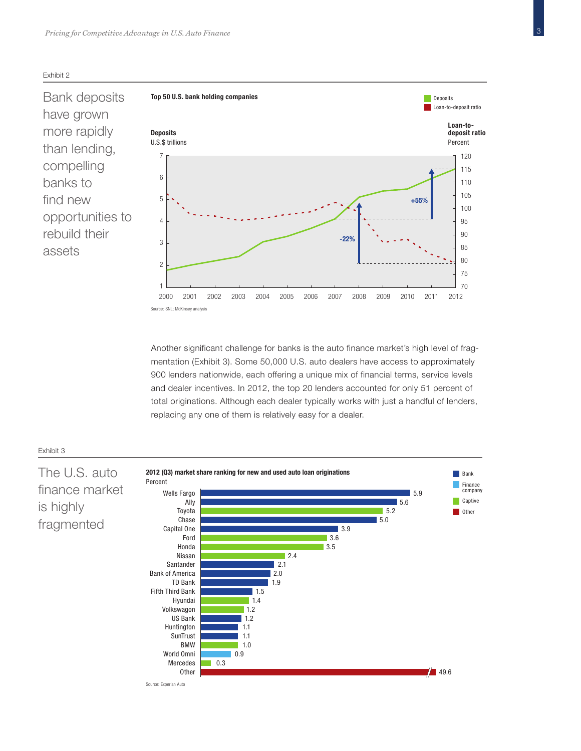

Bank deposits have grown more rapidly than lending, compelling banks to find new opportunities to rebuild their assets



Another significant challenge for banks is the auto finance market's high level of fragmentation (Exhibit 3). Some 50,000 U.S. auto dealers have access to approximately 900 lenders nationwide, each offering a unique mix of financial terms, service levels and dealer incentives. In 2012, the top 20 lenders accounted for only 51 percent of total originations. Although each dealer typically works with just a handful of lenders, replacing any one of them is relatively easy for a dealer.



#### Exhibit 2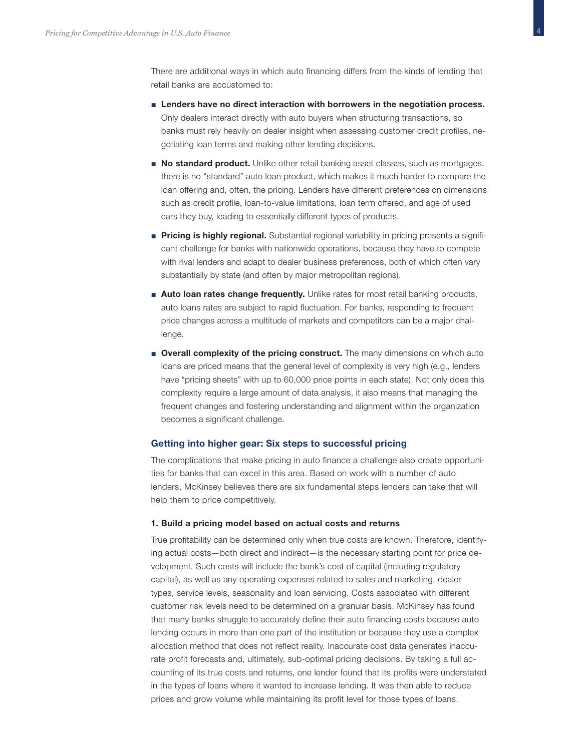

There are additional ways in which auto financing differs from the kinds of lending that retail banks are accustomed to:

- **■ Lenders have no direct interaction with borrowers in the negotiation process.** Only dealers interact directly with auto buyers when structuring transactions, so banks must rely heavily on dealer insight when assessing customer credit profiles, negotiating loan terms and making other lending decisions.
- **■ No standard product.** Unlike other retail banking asset classes, such as mortgages, there is no "standard" auto loan product, which makes it much harder to compare the loan offering and, often, the pricing. Lenders have different preferences on dimensions such as credit profile, loan-to-value limitations, loan term offered, and age of used cars they buy, leading to essentially different types of products.
- **■ Pricing is highly regional.** Substantial regional variability in pricing presents a significant challenge for banks with nationwide operations, because they have to compete with rival lenders and adapt to dealer business preferences, both of which often vary substantially by state (and often by major metropolitan regions).
- **■ Auto loan rates change frequently.** Unlike rates for most retail banking products, auto loans rates are subject to rapid fluctuation. For banks, responding to frequent price changes across a multitude of markets and competitors can be a major challenge.
- **■ Overall complexity of the pricing construct.** The many dimensions on which auto loans are priced means that the general level of complexity is very high (e.g., lenders have "pricing sheets" with up to 60,000 price points in each state). Not only does this complexity require a large amount of data analysis, it also means that managing the frequent changes and fostering understanding and alignment within the organization becomes a significant challenge.

#### **Getting into higher gear: Six steps to successful pricing**

The complications that make pricing in auto finance a challenge also create opportunities for banks that can excel in this area. Based on work with a number of auto lenders, McKinsey believes there are six fundamental steps lenders can take that will help them to price competitively.

#### **1. Build a pricing model based on actual costs and returns**

True profitability can be determined only when true costs are known. Therefore, identifying actual costs—both direct and indirect—is the necessary starting point for price development. Such costs will include the bank's cost of capital (including regulatory capital), as well as any operating expenses related to sales and marketing, dealer types, service levels, seasonality and loan servicing. Costs associated with different customer risk levels need to be determined on a granular basis. McKinsey has found that many banks struggle to accurately define their auto financing costs because auto lending occurs in more than one part of the institution or because they use a complex allocation method that does not reflect reality. Inaccurate cost data generates inaccurate profit forecasts and, ultimately, sub-optimal pricing decisions. By taking a full accounting of its true costs and returns, one lender found that its profits were understated in the types of loans where it wanted to increase lending. It was then able to reduce prices and grow volume while maintaining its profit level for those types of loans.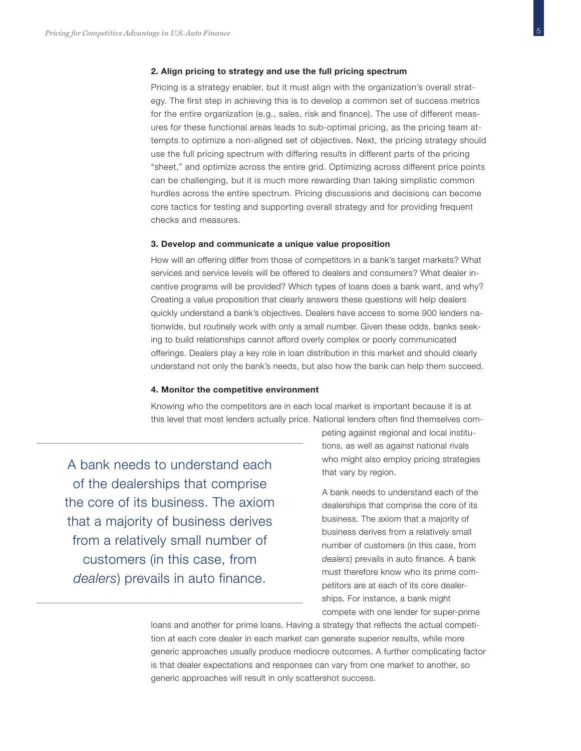#### **2. Align pricing to strategy and use the full pricing spectrum**

Pricing is a strategy enabler, but it must align with the organization's overall strategy. The first step in achieving this is to develop a common set of success metrics for the entire organization (e.g., sales, risk and finance). The use of different measures for these functional areas leads to sub-optimal pricing, as the pricing team attempts to optimize a non-aligned set of objectives. Next, the pricing strategy should use the full pricing spectrum with differing results in different parts of the pricing "sheet," and optimize across the entire grid. Optimizing across different price points can be challenging, but it is much more rewarding than taking simplistic common hurdles across the entire spectrum. Pricing discussions and decisions can become core tactics for testing and supporting overall strategy and for providing frequent checks and measures.

#### **3. Develop and communicate a unique value proposition**

How will an offering differ from those of competitors in a bank's target markets? What services and service levels will be offered to dealers and consumers? What dealer incentive programs will be provided? Which types of loans does a bank want, and why? Creating a value proposition that clearly answers these questions will help dealers quickly understand a bank's objectives. Dealers have access to some 900 lenders nationwide, but routinely work with only a small number. Given these odds, banks seeking to build relationships cannot afford overly complex or poorly communicated offerings. Dealers play a key role in loan distribution in this market and should clearly understand not only the bank's needs, but also how the bank can help them succeed.

#### **4. Monitor the competitive environment**

Knowing who the competitors are in each local market is important because it is at this level that most lenders actually price. National lenders often find themselves com-

A bank needs to understand each of the dealerships that comprise the core of its business. The axiom that a majority of business derives from a relatively small number of customers (in this case, from *dealers*) prevails in auto finance.

peting against regional and local institutions, as well as against national rivals who might also employ pricing strategies that vary by region.

A bank needs to understand each of the dealerships that comprise the core of its business. The axiom that a majority of business derives from a relatively small number of customers (in this case, from *dealers*) prevails in auto finance. A bank must therefore know who its prime competitors are at each of its core dealerships. For instance, a bank might compete with one lender for super-prime

loans and another for prime loans. Having a strategy that reflects the actual competition at each core dealer in each market can generate superior results, while more generic approaches usually produce mediocre outcomes. A further complicating factor is that dealer expectations and responses can vary from one market to another, so generic approaches will result in only scattershot success.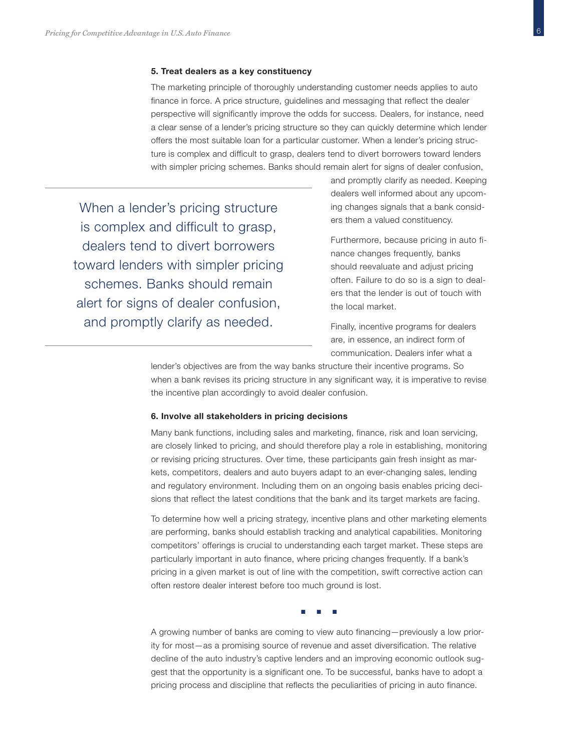#### **5. Treat dealers as a key constituency**

The marketing principle of thoroughly understanding customer needs applies to auto finance in force. A price structure, guidelines and messaging that reflect the dealer perspective will significantly improve the odds for success. Dealers, for instance, need a clear sense of a lender's pricing structure so they can quickly determine which lender offers the most suitable loan for a particular customer. When a lender's pricing structure is complex and difficult to grasp, dealers tend to divert borrowers toward lenders with simpler pricing schemes. Banks should remain alert for signs of dealer confusion,

When a lender's pricing structure is complex and difficult to grasp, dealers tend to divert borrowers toward lenders with simpler pricing schemes. Banks should remain alert for signs of dealer confusion, and promptly clarify as needed.

and promptly clarify as needed. Keeping dealers well informed about any upcoming changes signals that a bank considers them a valued constituency.

Furthermore, because pricing in auto finance changes frequently, banks should reevaluate and adjust pricing often. Failure to do so is a sign to dealers that the lender is out of touch with the local market.

Finally, incentive programs for dealers are, in essence, an indirect form of communication. Dealers infer what a

lender's objectives are from the way banks structure their incentive programs. So when a bank revises its pricing structure in any significant way, it is imperative to revise the incentive plan accordingly to avoid dealer confusion.

#### **6. Involve all stakeholders in pricing decisions**

Many bank functions, including sales and marketing, finance, risk and loan servicing, are closely linked to pricing, and should therefore play a role in establishing, monitoring or revising pricing structures. Over time, these participants gain fresh insight as markets, competitors, dealers and auto buyers adapt to an ever-changing sales, lending and regulatory environment. Including them on an ongoing basis enables pricing decisions that reflect the latest conditions that the bank and its target markets are facing.

To determine how well a pricing strategy, incentive plans and other marketing elements are performing, banks should establish tracking and analytical capabilities. Monitoring competitors' offerings is crucial to understanding each target market. These steps are particularly important in auto finance, where pricing changes frequently. If a bank's pricing in a given market is out of line with the competition, swift corrective action can often restore dealer interest before too much ground is lost.

**■■■**

A growing number of banks are coming to view auto financing—previously a low priority for most—as a promising source of revenue and asset diversification. The relative decline of the auto industry's captive lenders and an improving economic outlook suggest that the opportunity is a significant one. To be successful, banks have to adopt a pricing process and discipline that reflects the peculiarities of pricing in auto finance.